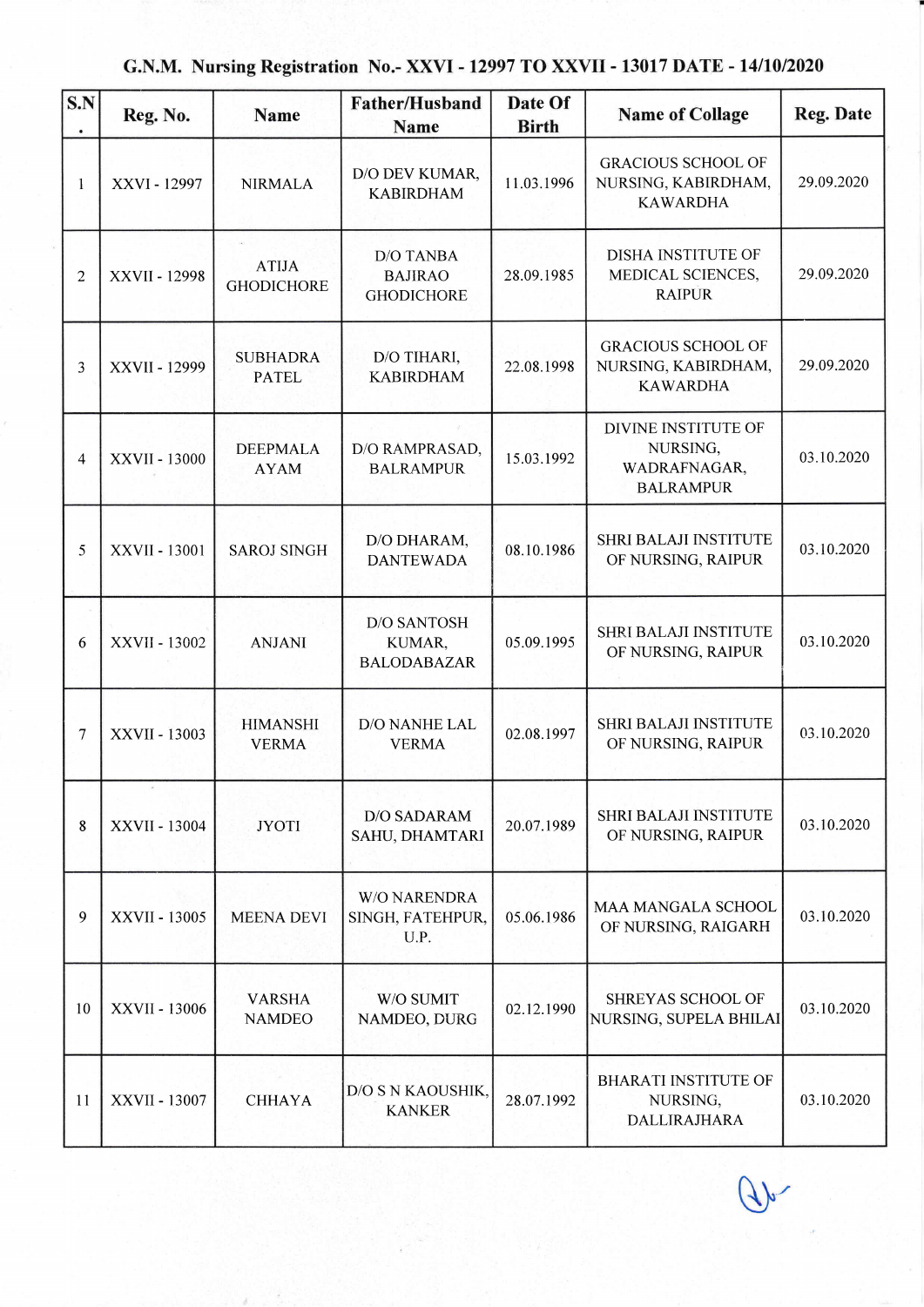|  |  | G.N.M. Nursing Registration No.- XXVI - 12997 TO XXVII - 13017 DATE - 14/10/2020 |
|--|--|----------------------------------------------------------------------------------|
|--|--|----------------------------------------------------------------------------------|

| S.N<br>$\bullet$ | Reg. No.      | Name                              | <b>Father/Husband</b><br>Name                           | Date Of<br><b>Birth</b> | <b>Name of Collage</b>                                              | <b>Reg. Date</b> |
|------------------|---------------|-----------------------------------|---------------------------------------------------------|-------------------------|---------------------------------------------------------------------|------------------|
| 1                | XXVI - 12997  | <b>NIRMALA</b>                    | D/O DEV KUMAR,<br><b>KABIRDHAM</b>                      | 11.03.1996              | <b>GRACIOUS SCHOOL OF</b><br>NURSING, KABIRDHAM,<br><b>KAWARDHA</b> | 29.09.2020       |
| $\overline{2}$   | XXVII - 12998 | <b>ATIJA</b><br><b>GHODICHORE</b> | <b>D/O TANBA</b><br><b>BAJIRAO</b><br><b>GHODICHORE</b> | 28.09.1985              | <b>DISHA INSTITUTE OF</b><br>MEDICAL SCIENCES,<br><b>RAIPUR</b>     | 29.09.2020       |
| 3                | XXVII - 12999 | <b>SUBHADRA</b><br><b>PATEL</b>   | D/O TIHARI,<br><b>KABIRDHAM</b>                         | 22.08.1998              | <b>GRACIOUS SCHOOL OF</b><br>NURSING, KABIRDHAM,<br><b>KAWARDHA</b> | 29.09.2020       |
| 4                | XXVII - 13000 | <b>DEEPMALA</b><br><b>AYAM</b>    | D/O RAMPRASAD,<br><b>BALRAMPUR</b>                      | 15.03.1992              | DIVINE INSTITUTE OF<br>NURSING,<br>WADRAFNAGAR,<br><b>BALRAMPUR</b> | 03.10.2020       |
| 5                | XXVII - 13001 | <b>SAROJ SINGH</b>                | D/O DHARAM,<br><b>DANTEWADA</b>                         | 08.10.1986              | <b>SHRI BALAJI INSTITUTE</b><br>OF NURSING, RAIPUR                  | 03.10.2020       |
| 6                | XXVII - 13002 | <b>ANJANI</b>                     | <b>D/O SANTOSH</b><br>KUMAR,<br><b>BALODABAZAR</b>      | 05.09.1995              | SHRI BALAJI INSTITUTE<br>OF NURSING, RAIPUR                         | 03.10.2020       |
| 7                | XXVII - 13003 | <b>HIMANSHI</b><br><b>VERMA</b>   | D/O NANHE LAL<br><b>VERMA</b>                           | 02.08.1997              | SHRI BALAJI INSTITUTE<br>OF NURSING, RAIPUR                         | 03.10.2020       |
| 8                | XXVII - 13004 | <b>JYOTI</b>                      | <b>D/O SADARAM</b><br>SAHU, DHAMTARI                    | 20.07.1989              | <b>SHRI BALAJI INSTITUTE</b><br>OF NURSING, RAIPUR                  | 03.10.2020       |
| 9                | XXVII - 13005 | <b>MEENA DEVI</b>                 | <b>W/O NARENDRA</b><br>SINGH, FATEHPUR,<br>U.P.         | 05.06.1986              | MAA MANGALA SCHOOL<br>OF NURSING, RAIGARH                           | 03.10.2020       |
| 10               | XXVII - 13006 | <b>VARSHA</b><br><b>NAMDEO</b>    | W/O SUMIT<br>NAMDEO, DURG                               | 02.12.1990              | SHREYAS SCHOOL OF<br>NURSING, SUPELA BHILAI                         | 03.10.2020       |
| 11               | XXVII - 13007 | <b>CHHAYA</b>                     | D/O S N KAOUSHIK,<br><b>KANKER</b>                      | 28.07.1992              | <b>BHARATI INSTITUTE OF</b><br>NURSING,<br>DALLIRAJHARA             | 03.10.2020       |

 $\mathcal{A}$ 

T